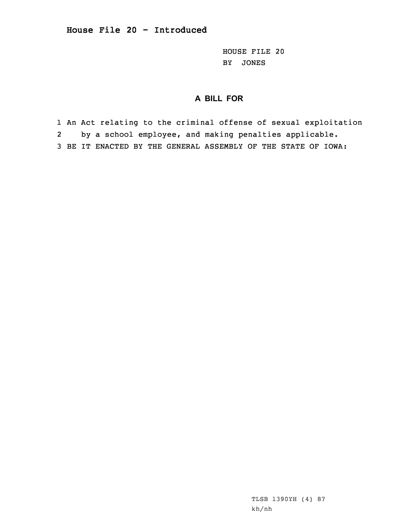HOUSE FILE 20 BY JONES

## **A BILL FOR**

1 An Act relating to the criminal offense of sexual exploitation 2 by <sup>a</sup> school employee, and making penalties applicable. 3 BE IT ENACTED BY THE GENERAL ASSEMBLY OF THE STATE OF IOWA: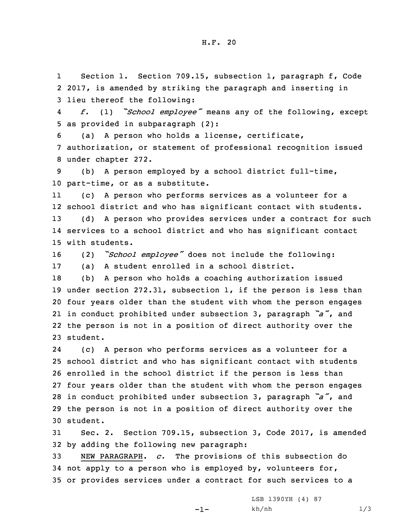H.F. 20

1 Section 1. Section 709.15, subsection 1, paragraph f, Code 2 2017, is amended by striking the paragraph and inserting in 3 lieu thereof the following:

4 *f.* (1) *"School employee"* means any of the following, except 5 as provided in subparagraph (2):

6 (a) <sup>A</sup> person who holds <sup>a</sup> license, certificate, 7 authorization, or statement of professional recognition issued 8 under chapter 272.

9 (b) <sup>A</sup> person employed by <sup>a</sup> school district full-time, 10 part-time, or as <sup>a</sup> substitute.

11 (c) <sup>A</sup> person who performs services as <sup>a</sup> volunteer for <sup>a</sup> school district and who has significant contact with students. (d) <sup>A</sup> person who provides services under <sup>a</sup> contract for such services to <sup>a</sup> school district and who has significant contact with students.

<sup>16</sup> (2) *"School employee"* does not include the following: 17 (a) <sup>A</sup> student enrolled in <sup>a</sup> school district.

 (b) <sup>A</sup> person who holds <sup>a</sup> coaching authorization issued under section 272.31, subsection 1, if the person is less than four years older than the student with whom the person engages in conduct prohibited under subsection 3, paragraph *"a"*, and the person is not in <sup>a</sup> position of direct authority over the 23 student.

24 (c) <sup>A</sup> person who performs services as <sup>a</sup> volunteer for <sup>a</sup> school district and who has significant contact with students enrolled in the school district if the person is less than four years older than the student with whom the person engages in conduct prohibited under subsection 3, paragraph *"a"*, and the person is not in <sup>a</sup> position of direct authority over the 30 student.

31 Sec. 2. Section 709.15, subsection 3, Code 2017, is amended 32 by adding the following new paragraph:

33 NEW PARAGRAPH. *c.* The provisions of this subsection do 34 not apply to <sup>a</sup> person who is employed by, volunteers for, 35 or provides services under <sup>a</sup> contract for such services to <sup>a</sup>

-1-

LSB 1390YH (4) 87 kh/nh 1/3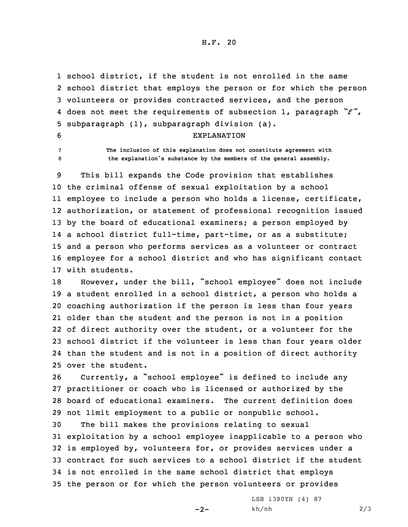H.F. 20

 school district, if the student is not enrolled in the same school district that employs the person or for which the person volunteers or provides contracted services, and the person does not meet the requirements of subsection 1, paragraph *"f"*, subparagraph (1), subparagraph division (a).

6 EXPLANATION

7 **The inclusion of this explanation does not constitute agreement with** <sup>8</sup> **the explanation's substance by the members of the general assembly.**

 This bill expands the Code provision that establishes the criminal offense of sexual exploitation by <sup>a</sup> school employee to include <sup>a</sup> person who holds <sup>a</sup> license, certificate, authorization, or statement of professional recognition issued 13 by the board of educational examiners; a person employed by <sup>a</sup> school district full-time, part-time, or as <sup>a</sup> substitute; and <sup>a</sup> person who performs services as <sup>a</sup> volunteer or contract employee for <sup>a</sup> school district and who has significant contact with students.

 However, under the bill, "school employee" does not include <sup>a</sup> student enrolled in <sup>a</sup> school district, <sup>a</sup> person who holds <sup>a</sup> coaching authorization if the person is less than four years older than the student and the person is not in <sup>a</sup> position of direct authority over the student, or <sup>a</sup> volunteer for the school district if the volunteer is less than four years older than the student and is not in <sup>a</sup> position of direct authority over the student.

 Currently, <sup>a</sup> "school employee" is defined to include any practitioner or coach who is licensed or authorized by the board of educational examiners. The current definition does not limit employment to <sup>a</sup> public or nonpublic school.

 The bill makes the provisions relating to sexual exploitation by <sup>a</sup> school employee inapplicable to <sup>a</sup> person who is employed by, volunteers for, or provides services under <sup>a</sup> contract for such services to <sup>a</sup> school district if the student is not enrolled in the same school district that employs the person or for which the person volunteers or provides

 $-2-$ 

LSB 1390YH (4) 87 kh/nh 2/3